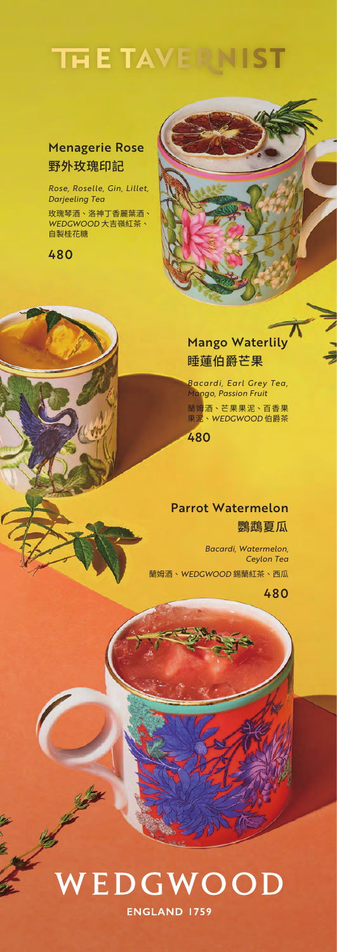### **THE TAVER VIST**

#### Menagerie Rose 野外玫瑰印記

*Rose, Roselle, Gin, Lillet, Darjeeling Tea*

玫瑰琴酒、洛神丁香麗葉酒、 *WEDGWOOD* 大吉嶺紅茶、 自製桂花糖

480

### Mango Waterlily 睡蓮伯爵芒果

蘭姆酒、芒果果泥、百香果 果泥、*WEDGWOOD* 伯爵茶 *Bacardi, Earl Grey Tea, Mango, Passion Fruit*

480

#### Parrot Watermelon 鸚鵡夏瓜

蘭姆酒、*WEDGWOOD* 錫蘭紅茶、西瓜 *Bacardi, Watermelon, Ceylon Tea*

480

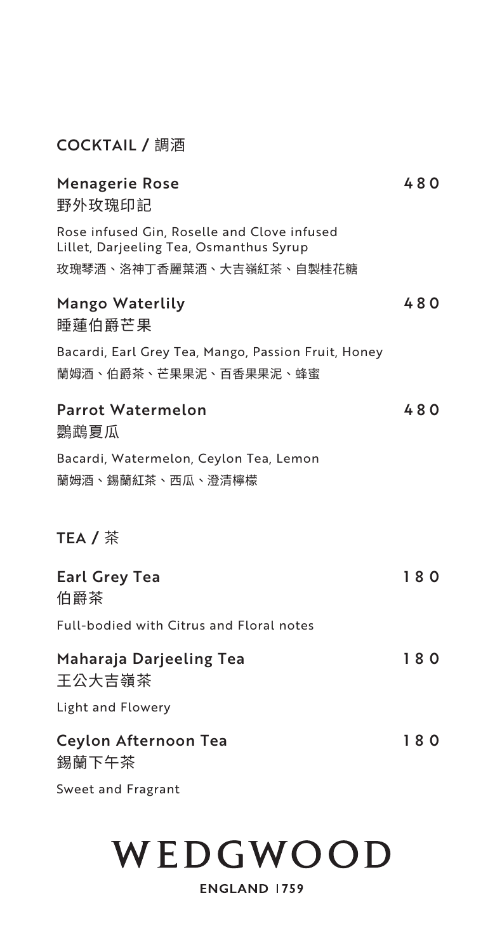#### COCKTAIL / 調酒

| <b>Menagerie Rose</b><br>野外玫瑰印記                                                                                    | 480 |
|--------------------------------------------------------------------------------------------------------------------|-----|
| Rose infused Gin, Roselle and Clove infused<br>Lillet, Darjeeling Tea, Osmanthus Syrup<br>玫瑰琴酒、洛神丁香麗葉酒、大吉嶺紅茶、自製桂花糖 |     |
| <b>Mango Waterlily</b><br>睡蓮伯爵芒果                                                                                   | 480 |
| Bacardi, Earl Grey Tea, Mango, Passion Fruit, Honey<br>蘭姆酒、伯爵茶、芒果果泥、百香果果泥、蜂蜜                                       |     |
| <b>Parrot Watermelon</b><br>鸚鵡夏瓜                                                                                   | 480 |
| Bacardi, Watermelon, Ceylon Tea, Lemon<br>蘭姆酒、錫蘭紅茶、西瓜、澄清檸檬                                                         |     |
| TEA / 茶                                                                                                            |     |
| <b>Earl Grey Tea</b><br>伯爵茶                                                                                        | 180 |
| Full-bodied with Citrus and Floral notes                                                                           |     |
| Maharaja Darjeeling Tea<br>王公大吉嶺茶                                                                                  | 180 |
| Light and Flowery                                                                                                  |     |
| <b>Ceylon Afternoon Tea</b><br>錫蘭下午茶                                                                               | 180 |
| Sweet and Fragrant                                                                                                 |     |

### WEDGWOOD

#### **ENGLAND 1759**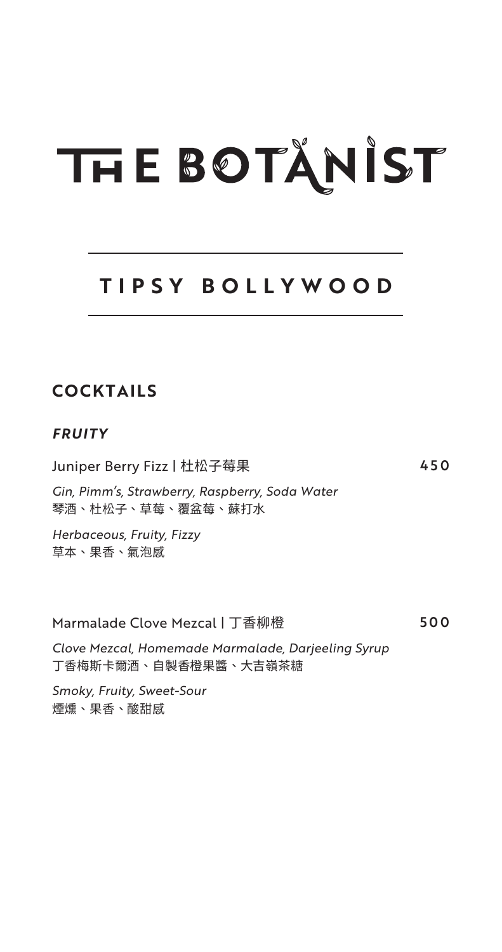### **TIPSY BOLLYWOOD**

### **COCKTAILS**

#### *FRUITY*

Juniper Berry Fizz | 杜松子莓果 450

*Gin, Pimm's, Strawberry, Raspberry, Soda Water* 琴酒、杜松子、草莓、覆盆莓、蘇打水

*Herbaceous, Fruity, Fizzy* 草本、果香、氣泡感

Marmalade Clove Mezcal | 丁香柳橙 7000 500

*Clove Mezcal, Homemade Marmalade, Darjeeling Syrup* 丁香梅斯卡爾酒、自製香橙果醬、大吉嶺茶糖

*Smoky, Fruity, Sweet-Sour* 煙燻、果香、酸甜感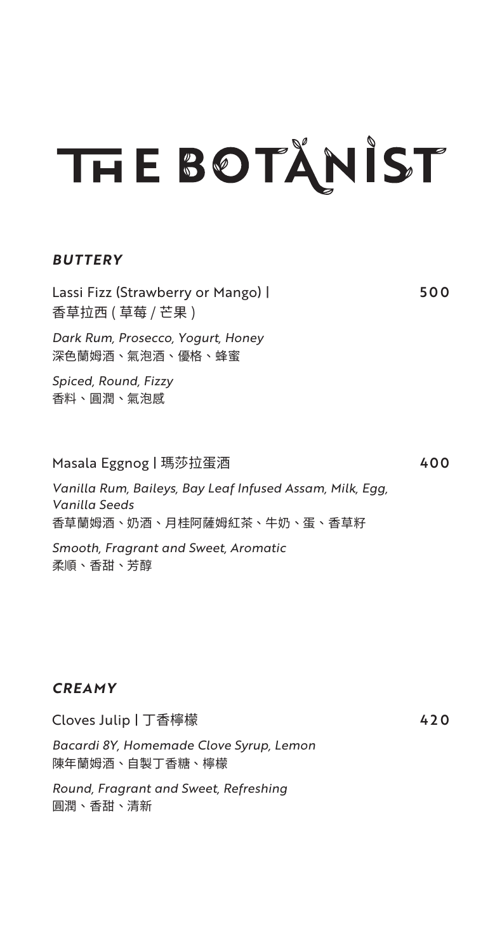#### *BUTTERY*

Lassi Fizz (Strawberry or Mango) | 500 香草拉西 ( 草莓 / 芒果 )

*Dark Rum, Prosecco, Yogurt, Honey* 深色蘭姆酒、氣泡酒、優格、蜂蜜

*Spiced, Round, Fizzy* 香料、圓潤、氣泡感

#### Masala Eggnog | 瑪莎拉蛋酒 400

*Vanilla Rum, Baileys, Bay Leaf Infused Assam, Milk, Egg, Vanilla Seeds* 香草蘭姆酒、奶酒、月桂阿薩姆紅茶、牛奶、蛋、香草籽

*Smooth, Fragrant and Sweet, Aromatic* 柔順、香甜、芳醇

#### *CREAMY*

Cloves Julip丨丁香檸檬 420

*Bacardi 8Y, Homemade Clove Syrup, Lemon* 陳年蘭姆酒、自製丁香糖、檸檬

*Round, Fragrant and Sweet, Refreshing* 圓潤、香甜、清新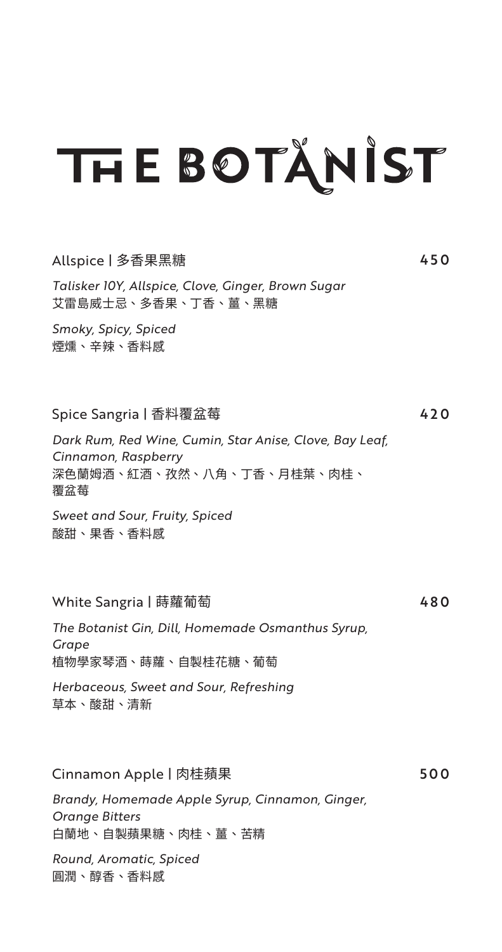#### Allspice | 多香果黑糖 450

*Talisker 10Y, Allspice, Clove, Ginger, Brown Sugar* 艾雷島威士忌、多香果、丁香、薑、黑糖

*Smoky, Spicy, Spiced* 煙燻、辛辣、香料感

Spice Sangria | 香料覆盆莓 420

*Dark Rum, Red Wine, Cumin, Star Anise, Clove, Bay Leaf, Cinnamon, Raspberry* 深色蘭姆酒、紅酒、孜然、八角、丁香、月桂葉、肉桂、 覆盆莓

*Sweet and Sour, Fruity, Spiced* 酸甜、果香、香料感

White Sangria | 蒔蘿葡萄 イング・シーク 480

*The Botanist Gin, Dill, Homemade Osmanthus Syrup, Grape* 植物學家琴酒、蒔蘿、自製桂花糖、葡萄

*Herbaceous, Sweet and Sour, Refreshing* 草本、酸甜、清新

Cinnamon Apple | 肉桂蘋果 500

*Brandy, Homemade Apple Syrup, Cinnamon, Ginger, Orange Bitters* 白蘭地、自製蘋果糖、肉桂、薑、苦精

*Round, Aromatic, Spiced* 圓潤、醇香、香料感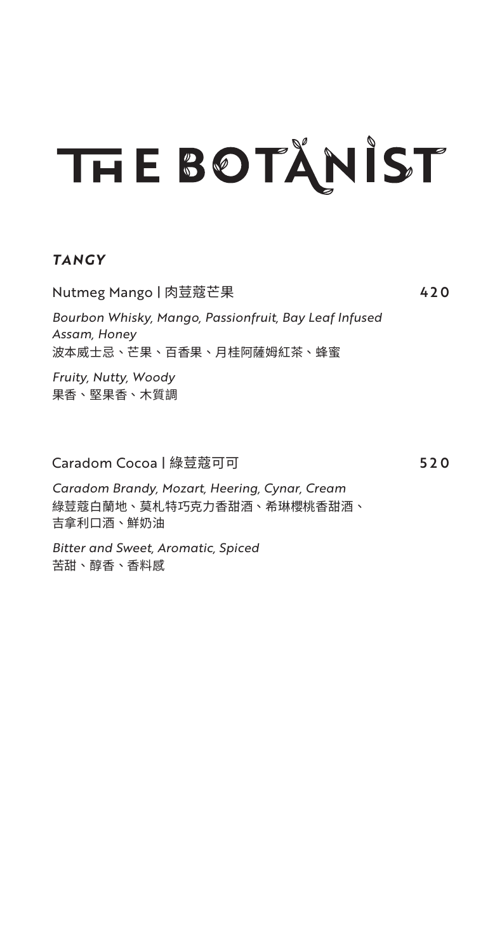#### *TANGY*

Nutmeg Mango | 肉荳蔻芒果 420 *Bourbon Whisky, Mango, Passionfruit, Bay Leaf Infused Assam, Honey* 波本威士忌、芒果、百香果、月桂阿薩姆紅茶、蜂蜜

*Fruity, Nutty, Woody* 果香、堅果香、木質調

Caradom Cocoa | 綠荳蔻可可 520

*Caradom Brandy, Mozart, Heering, Cynar, Cream* 綠荳蔻白蘭地、莫札特巧克力香甜酒、希琳櫻桃香甜酒、 吉拿利口酒、鮮奶油

*Bitter and Sweet, Aromatic, Spiced* 苦甜、醇香、香料感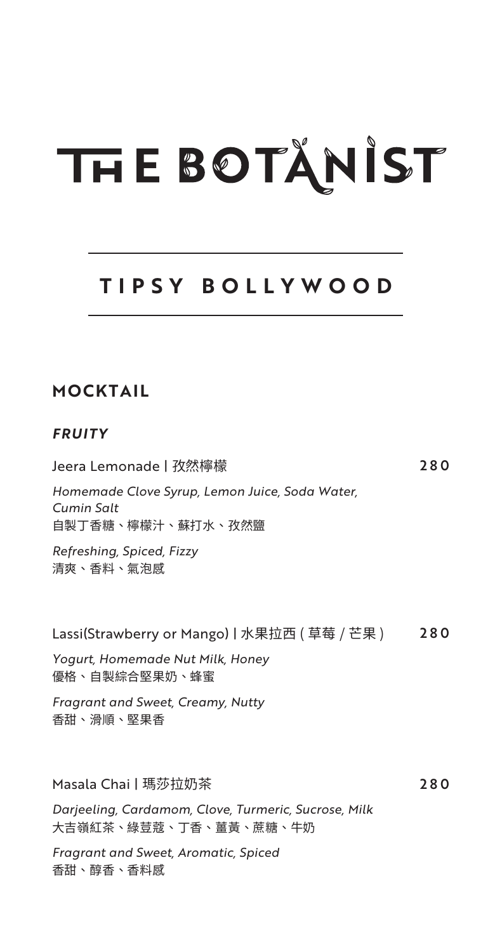### **TIPSY BOLLYWOOD**

Jeera Lemonade | 孜然檸檬 280

### **MOCKTAIL**

#### *FRUITY*

| Homemade Clove Syrup, Lemon Juice, Soda Water,<br>Cumin Salt<br>自製丁香糖、檸檬汁、蘇打水、孜然鹽 |     |
|-----------------------------------------------------------------------------------|-----|
| Refreshing, Spiced, Fizzy<br>清爽、香料、氣泡感                                            |     |
| Lassi(Strawberry or Mango)丨水果拉西 ( 草莓 / 芒果 )                                       | 280 |
| Yogurt, Homemade Nut Milk, Honey<br>優格、自製綜合堅果奶、蜂蜜                                 |     |
| Fragrant and Sweet, Creamy, Nutty<br>香甜、滑順、堅果香                                    |     |
| Masala Chai丨瑪莎拉奶茶                                                                 | 280 |
| Darjeeling, Cardamom, Clove, Turmeric, Sucrose, Milk<br>大吉嶺紅茶、綠荳蔻、丁香、薑黃、蔗糖、牛奶     |     |
| Fragrant and Sweet, Aromatic, Spiced<br>香甜、醇香、香料感                                 |     |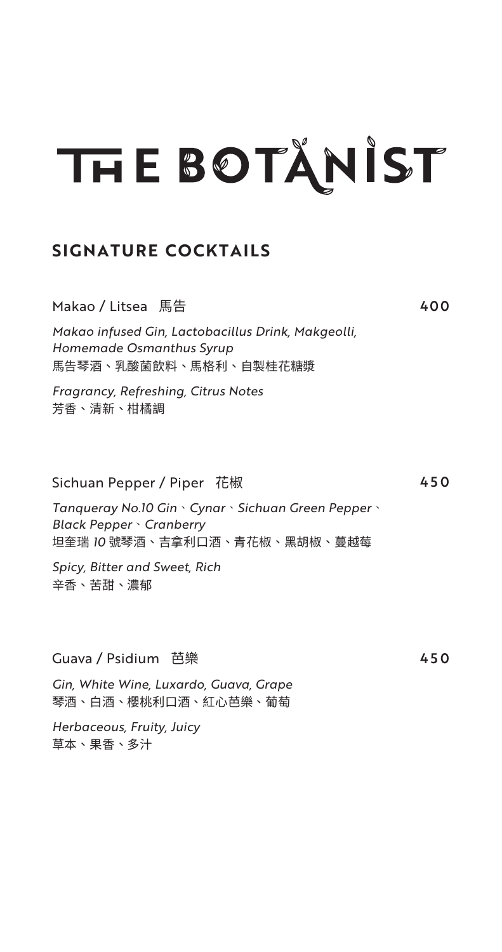#### **SIGNATURE COCKTAILS**

Makao / Litsea 馬告 400

*Makao infused Gin, Lactobacillus Drink, Makgeolli, Homemade Osmanthus Syrup* 馬告琴酒、乳酸菌飲料、馬格利、自製桂花糖漿

*Fragrancy, Refreshing, Citrus Notes* 芳香、清新、柑橘調

#### Sichuan Pepper / Piper 花椒 450

*Tanqueray No.10 Gin*、*Cynar*、*Sichuan Green Pepper*、 *Black Pepper*、*Cranberry* 坦奎瑞 *10* 號琴酒、吉拿利口酒、青花椒、黑胡椒、蔓越莓

*Spicy, Bitter and Sweet, Rich* 辛香、苦甜、濃郁

Guava / Psidium 芭樂 450

*Gin, White Wine, Luxardo, Guava, Grape* 琴酒、白酒、櫻桃利口酒、紅心芭樂、葡萄

*Herbaceous, Fruity, Juicy* 草本、果香、多汁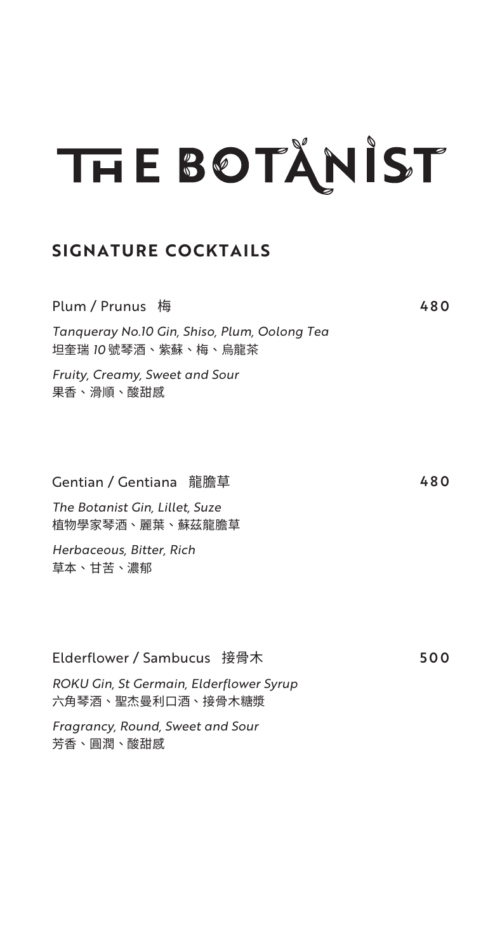#### **SIGNATURE COCKTAILS**

| Plum / Prunus 梅                                                     | 480 |
|---------------------------------------------------------------------|-----|
| Tanqueray No.10 Gin, Shiso, Plum, Oolong Tea<br>坦奎瑞 10 號琴酒、紫蘇、梅、烏龍茶 |     |
| Fruity, Creamy, Sweet and Sour<br>果香、滑順、酸甜感                         |     |
|                                                                     | 480 |
| The Botanist Gin, Lillet, Suze<br>植物學家琴酒、麗葉、蘇茲龍膽草                   |     |
| Herbaceous, Bitter, Rich<br>草本、甘苦、濃郁                                |     |
|                                                                     |     |
| Elderflower / Sambucus 接骨木                                          | 500 |
| ROKU Gin, St Germain, Elderflower Syrup<br>六角琴酒、聖杰曼利口酒、接骨木糖漿        |     |

*Fragrancy, Round, Sweet and Sour* 芳香、圓潤、酸甜感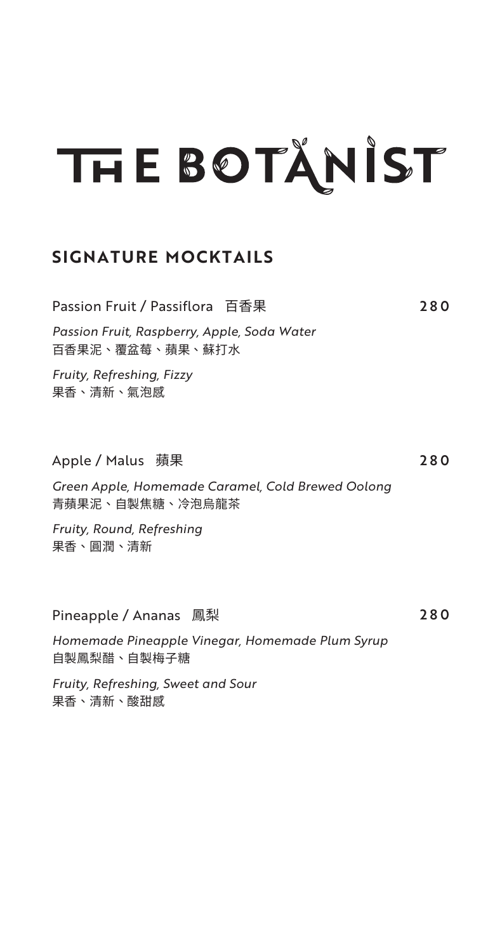#### **SIGNATURE MOCKTAILS**

| Passion Fruit / Passiflora 百香果                                       | 280 |
|----------------------------------------------------------------------|-----|
| Passion Fruit, Raspberry, Apple, Soda Water<br>百香果泥、覆盆莓、蘋果、蘇打水       |     |
| Fruity, Refreshing, Fizzy<br>果香、清新、氣泡感                               |     |
|                                                                      |     |
| Apple / Malus   蘋果                                                   | 280 |
| Green Apple, Homemade Caramel, Cold Brewed Oolong<br>青蘋果泥、自製焦糖、冷泡烏龍茶 |     |
| Fruity, Round, Refreshing<br>果香、圓潤、清新                                |     |
|                                                                      |     |
| Pineapple / Ananas 鳳梨                                                | 280 |
| Homemade Pineapple Vinegar, Homemade Plum Syrup<br>自製鳳梨醋、自製梅子糖       |     |
| Fruity, Refreshing, Sweet and Sour                                   |     |

果香、清新、酸甜感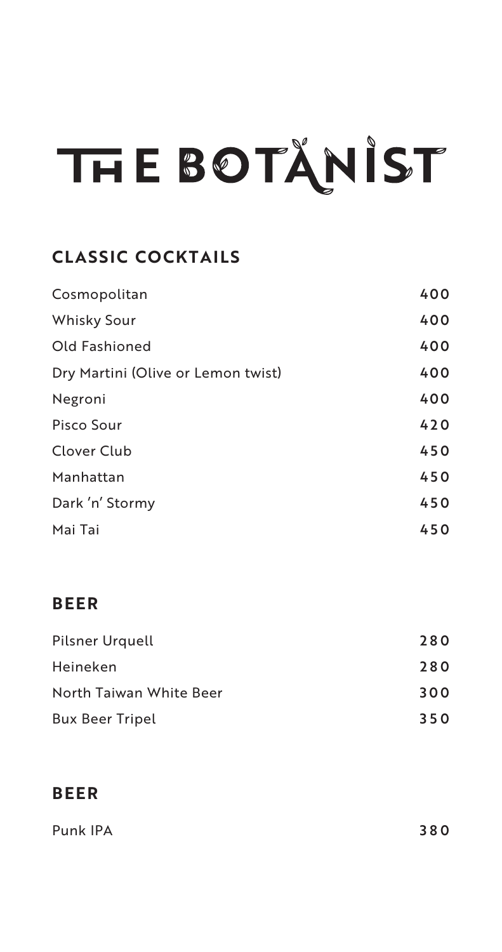### **CLASSIC COCKTAILS**

| Cosmopolitan                       | 400 |
|------------------------------------|-----|
| <b>Whisky Sour</b>                 | 400 |
| Old Fashioned                      | 400 |
| Dry Martini (Olive or Lemon twist) | 400 |
| Negroni                            | 400 |
| Pisco Sour                         | 420 |
| Clover Club                        | 450 |
| Manhattan                          | 450 |
| Dark 'n' Stormy                    | 450 |
| Mai Tai                            | 450 |

### **BEER**

| Pilsner Urquell         | 280 |
|-------------------------|-----|
| Heineken                | 280 |
| North Taiwan White Beer | 300 |
| <b>Bux Beer Tripel</b>  | 350 |

### **BEER**

| Punk IPA | 380 |
|----------|-----|
|          |     |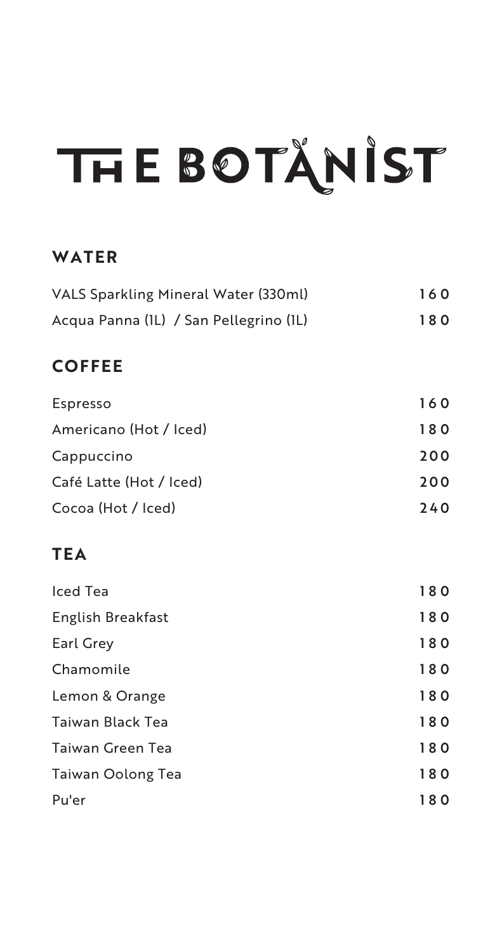### **WATER**

| VALS Sparkling Mineral Water (330ml)   | 160 |
|----------------------------------------|-----|
| Acqua Panna (IL) / San Pellegrino (IL) | 180 |
| <b>COFFEE</b>                          |     |
| Espresso                               | 160 |
| Americano (Hot / Iced)                 | 180 |
| Cappuccino                             | 200 |
| Café Latte (Hot / Iced)                | 200 |
| Cocoa (Hot / Iced)                     | 240 |
| <b>TEA</b>                             |     |
| <b>Iced Tea</b>                        | 180 |
| English Breakfast                      | 180 |
| Earl Grey                              | 180 |
| Chamomile                              | 180 |
| Lemon & Orange                         | 180 |
| Taiwan Black Tea                       | 180 |
| <b>Taiwan Green Tea</b>                | 180 |
| Taiwan Oolong Tea                      | 180 |
| Pu'er                                  | 180 |